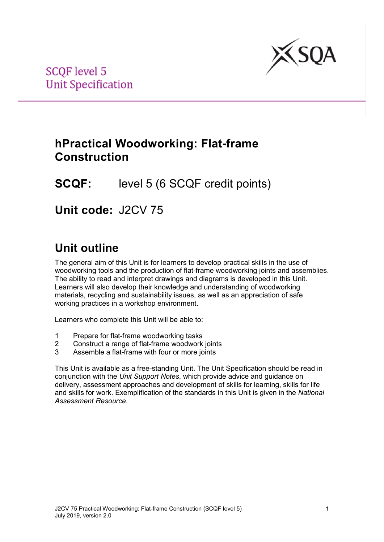

## **hPractical Woodworking: Flat-frame Construction**

## **SCQF:** level 5 (6 SCQF credit points)

**Unit code:** J2CV 75

# **Unit outline**

The general aim of this Unit is for learners to develop practical skills in the use of woodworking tools and the production of flat-frame woodworking joints and assemblies. The ability to read and interpret drawings and diagrams is developed in this Unit. Learners will also develop their knowledge and understanding of woodworking materials, recycling and sustainability issues, as well as an appreciation of safe working practices in a workshop environment.

Learners who complete this Unit will be able to:

- 1 Prepare for flat-frame woodworking tasks
- 2 Construct a range of flat-frame woodwork joints
- 3 Assemble a flat-frame with four or more joints

This Unit is available as a free-standing Unit. The Unit Specification should be read in conjunction with the *Unit Support Notes*, which provide advice and guidance on delivery, assessment approaches and development of skills for learning, skills for life and skills for work. Exemplification of the standards in this Unit is given in the *National Assessment Resource*.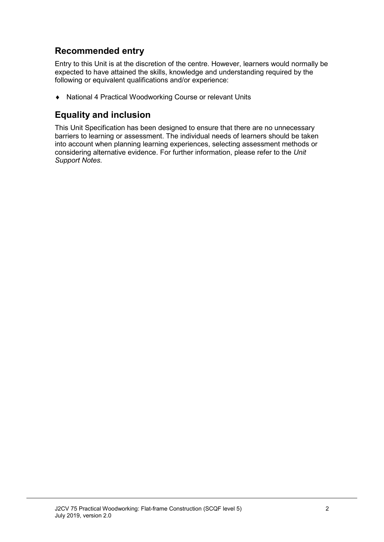## **Recommended entry**

Entry to this Unit is at the discretion of the centre. However, learners would normally be expected to have attained the skills, knowledge and understanding required by the following or equivalent qualifications and/or experience:

♦ National 4 Practical Woodworking Course or relevant Units

### **Equality and inclusion**

This Unit Specification has been designed to ensure that there are no unnecessary barriers to learning or assessment. The individual needs of learners should be taken into account when planning learning experiences, selecting assessment methods or considering alternative evidence. For further information, please refer to the *Unit Support Notes.*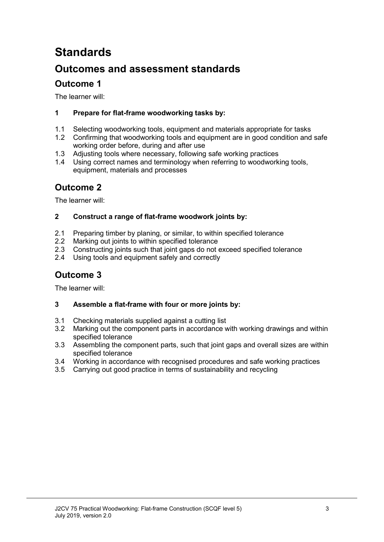# **Standards**

## **Outcomes and assessment standards**

### **Outcome 1**

The learner will:

#### **1 Prepare for flat-frame woodworking tasks by:**

- 1.1 Selecting woodworking tools, equipment and materials appropriate for tasks<br>1.2 Confirming that woodworking tools and equipment are in good condition and
- 1.2 Confirming that woodworking tools and equipment are in good condition and safe working order before, during and after use
- 1.3 Adjusting tools where necessary, following safe working practices<br>1.4 Using correct names and terminology when referring to woodwork
- Using correct names and terminology when referring to woodworking tools, equipment, materials and processes

### **Outcome 2**

The learner will:

#### **2 Construct a range of flat-frame woodwork joints by:**

- 2.1 Preparing timber by planing, or similar, to within specified tolerance<br>2.2 Marking out joints to within specified tolerance
- 2.2 Marking out joints to within specified tolerance<br>2.3 Constructing joints such that joint gaps do not of
- 2.3 Constructing joints such that joint gaps do not exceed specified tolerance<br>2.4 Using tools and equipment safely and correctly
- Using tools and equipment safely and correctly

## **Outcome 3**

The learner will:

#### **3 Assemble a flat-frame with four or more joints by:**

- 3.1 Checking materials supplied against a cutting list
- 3.2 Marking out the component parts in accordance with working drawings and within specified tolerance
- 3.3 Assembling the component parts, such that joint gaps and overall sizes are within specified tolerance
- 3.4 Working in accordance with recognised procedures and safe working practices
- 3.5 Carrying out good practice in terms of sustainability and recycling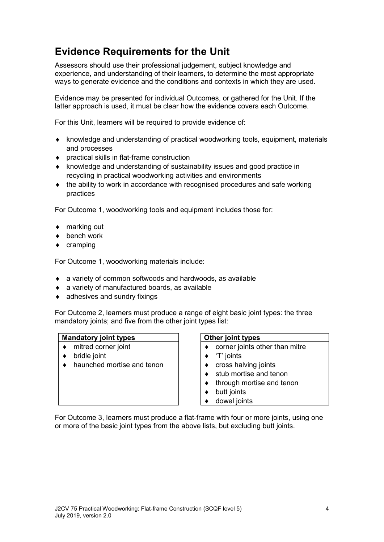## **Evidence Requirements for the Unit**

Assessors should use their professional judgement, subject knowledge and experience, and understanding of their learners, to determine the most appropriate ways to generate evidence and the conditions and contexts in which they are used.

Evidence may be presented for individual Outcomes, or gathered for the Unit. If the latter approach is used, it must be clear how the evidence covers each Outcome.

For this Unit, learners will be required to provide evidence of:

- ♦ knowledge and understanding of practical woodworking tools, equipment, materials and processes
- ♦ practical skills in flat-frame construction
- ♦ knowledge and understanding of sustainability issues and good practice in recycling in practical woodworking activities and environments
- the ability to work in accordance with recognised procedures and safe working practices

For Outcome 1, woodworking tools and equipment includes those for:

- ♦ marking out
- ♦ bench work
- ♦ cramping

For Outcome 1, woodworking materials include:

- ♦ a variety of common softwoods and hardwoods, as available
- ♦ a variety of manufactured boards, as available
- $\bullet$  adhesives and sundry fixings

For Outcome 2, learners must produce a range of eight basic joint types: the three mandatory joints; and five from the other joint types list:

| <b>Mandatory joint types</b> | Other joint types              |  |  |  |
|------------------------------|--------------------------------|--|--|--|
| mitred corner joint          | corner joints other than mitre |  |  |  |
| bridle joint                 | 'T' joints                     |  |  |  |
| haunched mortise and tenon   | cross halving joints           |  |  |  |
|                              | stub mortise and tenon         |  |  |  |
|                              | through mortise and tenon      |  |  |  |
|                              | butt joints                    |  |  |  |
|                              | dowel joints                   |  |  |  |

For Outcome 3, learners must produce a flat-frame with four or more joints, using one or more of the basic joint types from the above lists, but excluding butt joints.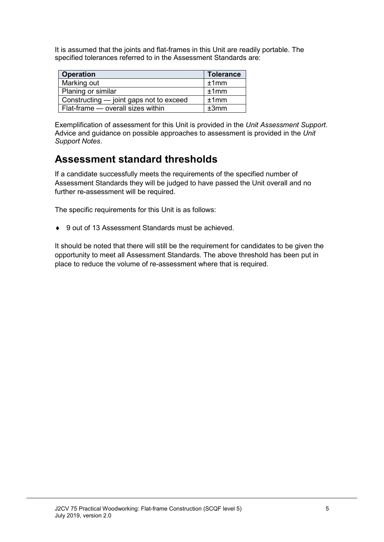It is assumed that the joints and flat-frames in this Unit are readily portable. The specified tolerances referred to in the Assessment Standards are:

| <b>Operation</b>                        | <b>Tolerance</b> |  |
|-----------------------------------------|------------------|--|
| Marking out                             | ±1mm             |  |
| Planing or similar                      | ±1mm             |  |
| Constructing — joint gaps not to exceed | ±1mm             |  |
| Flat-frame - overall sizes within       | ±3mm             |  |

Exemplification of assessment for this Unit is provided in the *Unit Assessment Support*. Advice and guidance on possible approaches to assessment is provided in the *Unit Support Notes*.

## **Assessment standard thresholds**

If a candidate successfully meets the requirements of the specified number of Assessment Standards they will be judged to have passed the Unit overall and no further re-assessment will be required.

The specific requirements for this Unit is as follows:

♦ 9 out of 13 Assessment Standards must be achieved.

It should be noted that there will still be the requirement for candidates to be given the opportunity to meet all Assessment Standards. The above threshold has been put in place to reduce the volume of re-assessment where that is required.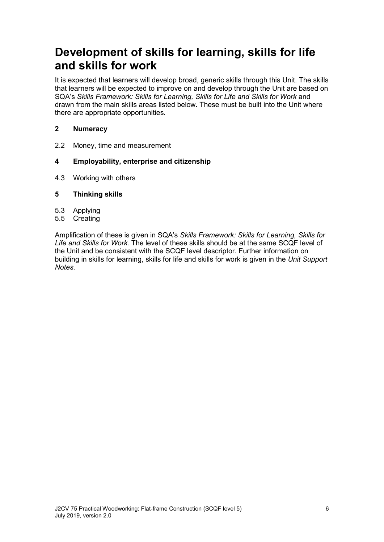## **Development of skills for learning, skills for life and skills for work**

It is expected that learners will develop broad, generic skills through this Unit. The skills that learners will be expected to improve on and develop through the Unit are based on SQA's *Skills Framework: Skills for Learning, Skills for Life and Skills for Work* and drawn from the main skills areas listed below. These must be built into the Unit where there are appropriate opportunities.

#### **2 Numeracy**

2.2 Money, time and measurement

#### **4 Employability, enterprise and citizenship**

4.3 Working with others

#### **5 Thinking skills**

- 5.3 Applying
- 5.5 Creating

Amplification of these is given in SQA's *Skills Framework: Skills for Learning, Skills for Life and Skills for Work.* The level of these skills should be at the same SCQF level of the Unit and be consistent with the SCQF level descriptor. Further information on building in skills for learning, skills for life and skills for work is given in the *Unit Support Notes.*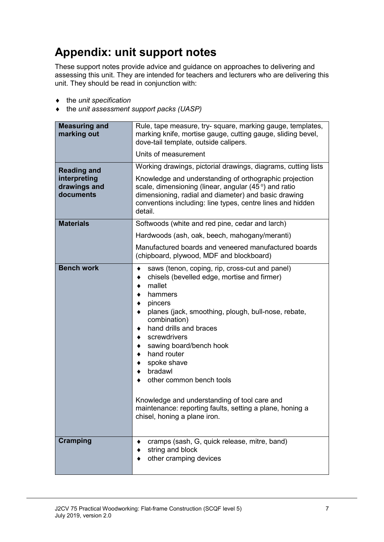# **Appendix: unit support notes**

These support notes provide advice and guidance on approaches to delivering and assessing this unit. They are intended for teachers and lecturers who are delivering this unit. They should be read in conjunction with:

- ♦ the *unit specification*
- ♦ the *unit assessment support packs (UASP)*

| <b>Measuring and</b><br>marking out                             | Rule, tape measure, try-square, marking gauge, templates,<br>marking knife, mortise gauge, cutting gauge, sliding bevel,<br>dove-tail template, outside calipers.<br>Units of measurement                                                                                                                                                                                                                                                                                                                                                         |  |  |
|-----------------------------------------------------------------|---------------------------------------------------------------------------------------------------------------------------------------------------------------------------------------------------------------------------------------------------------------------------------------------------------------------------------------------------------------------------------------------------------------------------------------------------------------------------------------------------------------------------------------------------|--|--|
| <b>Reading and</b><br>interpreting<br>drawings and<br>documents | Working drawings, pictorial drawings, diagrams, cutting lists<br>Knowledge and understanding of orthographic projection<br>scale, dimensioning (linear, angular $(45^{\circ})$ and ratio<br>dimensioning, radial and diameter) and basic drawing<br>conventions including: line types, centre lines and hidden<br>detail.                                                                                                                                                                                                                         |  |  |
| <b>Materials</b>                                                | Softwoods (white and red pine, cedar and larch)                                                                                                                                                                                                                                                                                                                                                                                                                                                                                                   |  |  |
|                                                                 | Hardwoods (ash, oak, beech, mahogany/meranti)<br>Manufactured boards and veneered manufactured boards<br>(chipboard, plywood, MDF and blockboard)                                                                                                                                                                                                                                                                                                                                                                                                 |  |  |
| <b>Bench work</b>                                               | saws (tenon, coping, rip, cross-cut and panel)<br>٠<br>chisels (bevelled edge, mortise and firmer)<br>٠<br>mallet<br>٠<br>hammers<br>pincers<br>٠<br>planes (jack, smoothing, plough, bull-nose, rebate,<br>٠<br>combination)<br>hand drills and braces<br>٠<br>screwdrivers<br>٠<br>sawing board/bench hook<br>٠<br>hand router<br>٠<br>spoke shave<br>٠<br>bradawl<br>٠<br>other common bench tools<br>Knowledge and understanding of tool care and<br>maintenance: reporting faults, setting a plane, honing a<br>chisel, honing a plane iron. |  |  |
| <b>Cramping</b>                                                 | cramps (sash, G, quick release, mitre, band)<br>string and block<br>other cramping devices                                                                                                                                                                                                                                                                                                                                                                                                                                                        |  |  |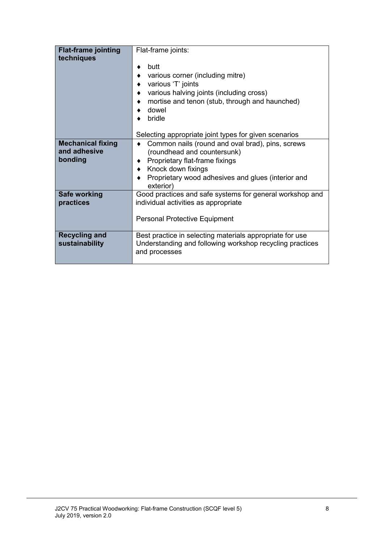| <b>Flat-frame jointing</b><br>techniques | Flat-frame joints:                                                                                                                                                              |  |  |  |
|------------------------------------------|---------------------------------------------------------------------------------------------------------------------------------------------------------------------------------|--|--|--|
|                                          | butt<br>various corner (including mitre)<br>various 'T' joints<br>various halving joints (including cross)<br>mortise and tenon (stub, through and haunched)<br>dowel<br>bridle |  |  |  |
|                                          | Selecting appropriate joint types for given scenarios                                                                                                                           |  |  |  |
| <b>Mechanical fixing</b><br>and adhesive | Common nails (round and oval brad), pins, screws<br>(roundhead and countersunk)                                                                                                 |  |  |  |
| bonding                                  | Proprietary flat-frame fixings                                                                                                                                                  |  |  |  |
|                                          | ♦ Knock down fixings                                                                                                                                                            |  |  |  |
|                                          | Proprietary wood adhesives and glues (interior and<br>exterior)                                                                                                                 |  |  |  |
| Safe working                             | Good practices and safe systems for general workshop and                                                                                                                        |  |  |  |
| practices                                | individual activities as appropriate                                                                                                                                            |  |  |  |
|                                          | <b>Personal Protective Equipment</b>                                                                                                                                            |  |  |  |
| <b>Recycling and</b><br>sustainability   | Best practice in selecting materials appropriate for use<br>Understanding and following workshop recycling practices<br>and processes                                           |  |  |  |